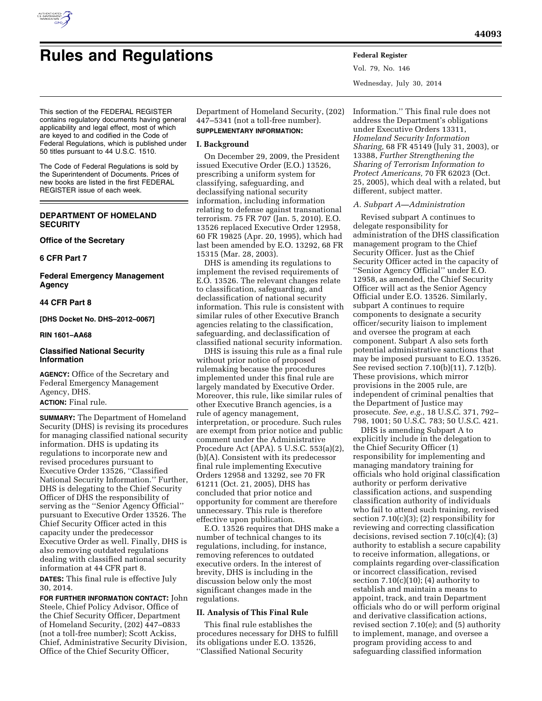

# **Rules and Regulations Federal Register**

Vol. 79, No. 146 Wednesday, July 30, 2014

This section of the FEDERAL REGISTER contains regulatory documents having general applicability and legal effect, most of which are keyed to and codified in the Code of Federal Regulations, which is published under 50 titles pursuant to 44 U.S.C. 1510.

The Code of Federal Regulations is sold by the Superintendent of Documents. Prices of new books are listed in the first FEDERAL REGISTER issue of each week.

# **DEPARTMENT OF HOMELAND SECURITY**

# **Office of the Secretary**

# **6 CFR Part 7**

**Federal Emergency Management Agency** 

# **44 CFR Part 8**

# **[DHS Docket No. DHS–2012–0067]**

# **RIN 1601–AA68**

# **Classified National Security Information**

**AGENCY:** Office of the Secretary and Federal Emergency Management Agency, DHS.

# **ACTION:** Final rule.

**SUMMARY:** The Department of Homeland Security (DHS) is revising its procedures for managing classified national security information. DHS is updating its regulations to incorporate new and revised procedures pursuant to Executive Order 13526, ''Classified National Security Information.'' Further, DHS is delegating to the Chief Security Officer of DHS the responsibility of serving as the ''Senior Agency Official'' pursuant to Executive Order 13526. The Chief Security Officer acted in this capacity under the predecessor Executive Order as well. Finally, DHS is also removing outdated regulations dealing with classified national security information at 44 CFR part 8.

**DATES:** This final rule is effective July 30, 2014.

**FOR FURTHER INFORMATION CONTACT:** John Steele, Chief Policy Advisor, Office of the Chief Security Officer, Department of Homeland Security, (202) 447–0833 (not a toll-free number); Scott Ackiss, Chief, Administrative Security Division, Office of the Chief Security Officer,

Department of Homeland Security, (202) 447–5341 (not a toll-free number). **SUPPLEMENTARY INFORMATION:** 

# **I. Background**

On December 29, 2009, the President issued Executive Order (E.O.) 13526, prescribing a uniform system for classifying, safeguarding, and declassifying national security information, including information relating to defense against transnational terrorism. 75 FR 707 (Jan. 5, 2010). E.O. 13526 replaced Executive Order 12958, 60 FR 19825 (Apr. 20, 1995), which had last been amended by E.O. 13292, 68 FR 15315 (Mar. 28, 2003).

DHS is amending its regulations to implement the revised requirements of E.O. 13526. The relevant changes relate to classification, safeguarding, and declassification of national security information. This rule is consistent with similar rules of other Executive Branch agencies relating to the classification, safeguarding, and declassification of classified national security information.

DHS is issuing this rule as a final rule without prior notice of proposed rulemaking because the procedures implemented under this final rule are largely mandated by Executive Order. Moreover, this rule, like similar rules of other Executive Branch agencies, is a rule of agency management, interpretation, or procedure. Such rules are exempt from prior notice and public comment under the Administrative Procedure Act (APA). 5 U.S.C. 553(a)(2), (b)(A). Consistent with its predecessor final rule implementing Executive Orders 12958 and 13292, see 70 FR 61211 (Oct. 21, 2005), DHS has concluded that prior notice and opportunity for comment are therefore unnecessary. This rule is therefore effective upon publication.

E.O. 13526 requires that DHS make a number of technical changes to its regulations, including, for instance, removing references to outdated executive orders. In the interest of brevity, DHS is including in the discussion below only the most significant changes made in the regulations.

# **II. Analysis of This Final Rule**

This final rule establishes the procedures necessary for DHS to fulfill its obligations under E.O. 13526, ''Classified National Security

Information.'' This final rule does not address the Department's obligations under Executive Orders 13311, *Homeland Security Information Sharing,* 68 FR 45149 (July 31, 2003), or 13388, *Further Strengthening the Sharing of Terrorism Information to Protect Americans,* 70 FR 62023 (Oct. 25, 2005), which deal with a related, but different, subject matter.

#### *A. Subpart A—Administration*

Revised subpart A continues to delegate responsibility for administration of the DHS classification management program to the Chief Security Officer. Just as the Chief Security Officer acted in the capacity of ''Senior Agency Official'' under E.O. 12958, as amended, the Chief Security Officer will act as the Senior Agency Official under E.O. 13526. Similarly, subpart A continues to require components to designate a security officer/security liaison to implement and oversee the program at each component. Subpart A also sets forth potential administrative sanctions that may be imposed pursuant to E.O. 13526. See revised section 7.10(b)(11), 7.12(b). These provisions, which mirror provisions in the 2005 rule, are independent of criminal penalties that the Department of Justice may prosecute. *See, e.g.,* 18 U.S.C. 371, 792– 798, 1001; 50 U.S.C. 783; 50 U.S.C. 421.

DHS is amending Subpart A to explicitly include in the delegation to the Chief Security Officer (1) responsibility for implementing and managing mandatory training for officials who hold original classification authority or perform derivative classification actions, and suspending classification authority of individuals who fail to attend such training, revised section  $7.10(c)(3)$ ; (2) responsibility for reviewing and correcting classification decisions, revised section 7.10(c)(4); (3) authority to establish a secure capability to receive information, allegations, or complaints regarding over-classification or incorrect classification, revised section  $7.10(c)(10)$ ; (4) authority to establish and maintain a means to appoint, track, and train Department officials who do or will perform original and derivative classification actions, revised section 7.10(e); and (5) authority to implement, manage, and oversee a program providing access to and safeguarding classified information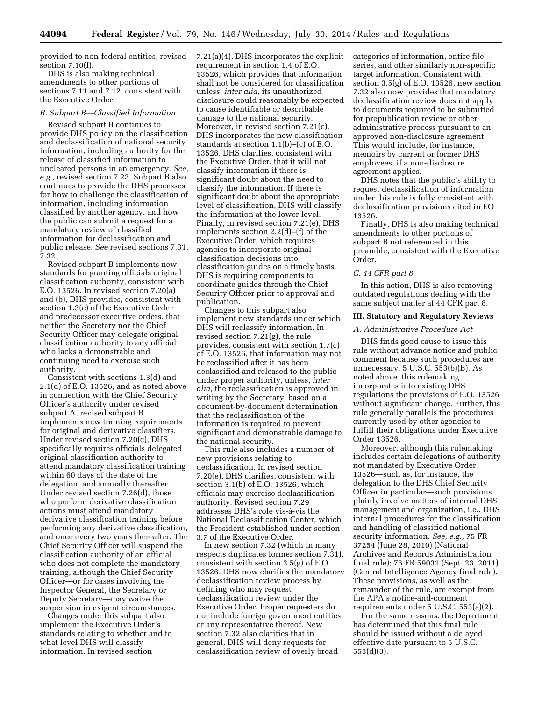provided to non-federal entities, revised section 7.10(f).

DHS is also making technical amendments to other portions of sections 7.11 and 7.12, consistent with the Executive Order.

## *B. Subpart B—Classified Information*

Revised subpart B continues to provide DHS policy on the classification and declassification of national security information, including authority for the release of classified information to uncleared persons in an emergency. *See, e.g.,* revised section 7.23. Subpart B also continues to provide the DHS processes for how to challenge the classification of information, including information classified by another agency, and how the public can submit a request for a mandatory review of classified information for declassification and public release. *See* revised sections 7.31, 7.32.

Revised subpart B implements new standards for granting officials original classification authority, consistent with E.O. 13526. In revised section 7.20(a) and (b), DHS provides, consistent with section 1.3(c) of the Executive Order and predecessor executive orders, that neither the Secretary nor the Chief Security Officer may delegate original classification authority to any official who lacks a demonstrable and continuing need to exercise such authority.

Consistent with sections 1.3(d) and 2.1(d) of E.O. 13526, and as noted above in connection with the Chief Security Officer's authority under revised subpart A, revised subpart B implements new training requirements for original and derivative classifiers. Under revised section 7.20(c), DHS specifically requires officials delegated original classification authority to attend mandatory classification training within 60 days of the date of the delegation, and annually thereafter. Under revised section 7.26(d), those who perform derivative classification actions must attend mandatory derivative classification training before performing any derivative classification, and once every two years thereafter. The Chief Security Officer will suspend the classification authority of an official who does not complete the mandatory training, although the Chief Security Officer—or for cases involving the Inspector General, the Secretary or Deputy Secretary—may waive the suspension in exigent circumstances.

Changes under this subpart also implement the Executive Order's standards relating to whether and to what level DHS will classify information. In revised section

7.21(a)(4), DHS incorporates the explicit requirement in section 1.4 of E.O. 13526, which provides that information shall not be considered for classification unless, *inter alia,* its unauthorized disclosure could reasonably be expected to cause identifiable or describable damage to the national security. Moreover, in revised section 7.21(c), DHS incorporates the new classification standards at section 1.1(b)–(c) of E.O. 13526. DHS clarifies, consistent with the Executive Order, that it will not classify information if there is significant doubt about the need to classify the information. If there is significant doubt about the appropriate level of classification, DHS will classify the information at the lower level. Finally, in revised section 7.21(e), DHS implements section 2.2(d)–(f) of the Executive Order, which requires agencies to incorporate original classification decisions into classification guides on a timely basis. DHS is requiring components to coordinate guides through the Chief Security Officer prior to approval and publication.

Changes to this subpart also implement new standards under which DHS will reclassify information. In revised section 7.21(g), the rule provides, consistent with section 1.7(c) of E.O. 13526, that information may not be reclassified after it has been declassified and released to the public under proper authority, unless, *inter alia,* the reclassification is approved in writing by the Secretary, based on a document-by-document determination that the reclassification of the information is required to prevent significant and demonstrable damage to the national security.

This rule also includes a number of new provisions relating to declassification. In revised section 7.20(e), DHS clarifies, consistent with section 3.1(b) of E.O. 13526, which officials may exercise declassification authority. Revised section 7.29 addresses DHS's role vis-à-vis the National Declassification Center, which the President established under section 3.7 of the Executive Order.

In new section 7.32 (which in many respects duplicates former section 7.31), consistent with section 3.5(g) of E.O. 13526, DHS now clarifies the mandatory declassification review process by defining who may request declassification review under the Executive Order. Proper requesters do not include foreign government entities or any representative thereof. New section 7.32 also clarifies that in general, DHS will deny requests for declassification review of overly broad

categories of information, entire file series, and other similarly non-specific target information. Consistent with section 3.5(g) of E.O. 13526, new section 7.32 also now provides that mandatory declassification review does not apply to documents required to be submitted for prepublication review or other administrative process pursuant to an approved non-disclosure agreement. This would include, for instance, memoirs by current or former DHS employees, if a non-disclosure agreement applies.

DHS notes that the public's ability to request declassification of information under this rule is fully consistent with declassification provisions cited in EO 13526.

Finally, DHS is also making technical amendments to other portions of subpart B not referenced in this preamble, consistent with the Executive Order.

# *C. 44 CFR part 8*

In this action, DHS is also removing outdated regulations dealing with the same subject matter at 44 CFR part 8.

# **III. Statutory and Regulatory Reviews**

# *A. Administrative Procedure Act*

DHS finds good cause to issue this rule without advance notice and public comment because such procedures are unnecessary.  $5$  U.S.C.  $553(b)(B)$ . As noted above, this rulemaking incorporates into existing DHS regulations the provisions of E.O. 13526 without significant change. Further, this rule generally parallels the procedures currently used by other agencies to fulfill their obligations under Executive Order 13526.

Moreover, although this rulemaking includes certain delegations of authority not mandated by Executive Order 13526—such as, for instance, the delegation to the DHS Chief Security Officer in particular—such provisions plainly involve matters of internal DHS management and organization, i.e., DHS internal procedures for the classification and handling of classified national security information. *See, e.g.,* 75 FR 37254 (June 28, 2010) (National Archives and Records Administration final rule); 76 FR 59031 (Sept. 23, 2011) (Central Intelligence Agency final rule). These provisions, as well as the remainder of the rule, are exempt from the APA's notice-and-comment requirements under 5 U.S.C. 553(a)(2).

For the same reasons, the Department has determined that this final rule should be issued without a delayed effective date pursuant to 5 U.S.C. 553(d)(3).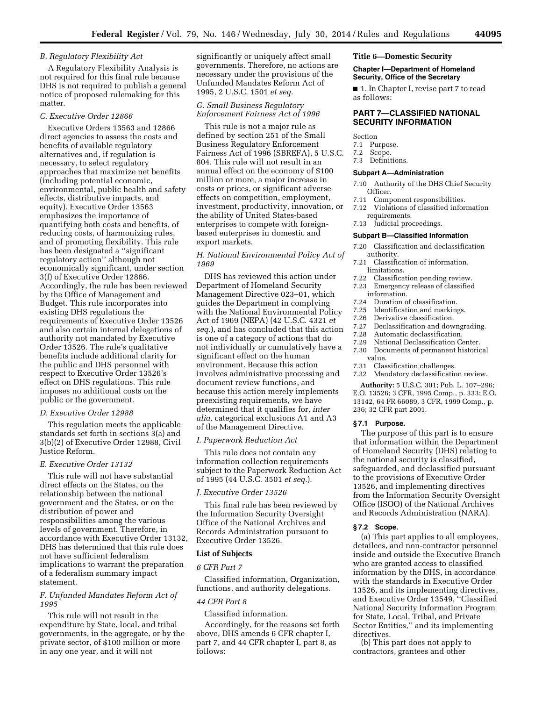# *B. Regulatory Flexibility Act*

A Regulatory Flexibility Analysis is not required for this final rule because DHS is not required to publish a general notice of proposed rulemaking for this matter.

#### *C. Executive Order 12866*

Executive Orders 13563 and 12866 direct agencies to assess the costs and benefits of available regulatory alternatives and, if regulation is necessary, to select regulatory approaches that maximize net benefits (including potential economic, environmental, public health and safety effects, distributive impacts, and equity). Executive Order 13563 emphasizes the importance of quantifying both costs and benefits, of reducing costs, of harmonizing rules, and of promoting flexibility. This rule has been designated a ''significant regulatory action'' although not economically significant, under section 3(f) of Executive Order 12866. Accordingly, the rule has been reviewed by the Office of Management and Budget. This rule incorporates into existing DHS regulations the requirements of Executive Order 13526 and also certain internal delegations of authority not mandated by Executive Order 13526. The rule's qualitative benefits include additional clarity for the public and DHS personnel with respect to Executive Order 13526's effect on DHS regulations. This rule imposes no additional costs on the public or the government.

## *D. Executive Order 12988*

This regulation meets the applicable standards set forth in sections 3(a) and 3(b)(2) of Executive Order 12988, Civil Justice Reform.

## *E. Executive Order 13132*

This rule will not have substantial direct effects on the States, on the relationship between the national government and the States, or on the distribution of power and responsibilities among the various levels of government. Therefore, in accordance with Executive Order 13132, DHS has determined that this rule does not have sufficient federalism implications to warrant the preparation of a federalism summary impact statement.

# *F. Unfunded Mandates Reform Act of 1995*

This rule will not result in the expenditure by State, local, and tribal governments, in the aggregate, or by the private sector, of \$100 million or more in any one year, and it will not

significantly or uniquely affect small governments. Therefore, no actions are necessary under the provisions of the Unfunded Mandates Reform Act of 1995, 2 U.S.C. 1501 *et seq.* 

# *G. Small Business Regulatory Enforcement Fairness Act of 1996*

This rule is not a major rule as defined by section 251 of the Small Business Regulatory Enforcement Fairness Act of 1996 (SBREFA), 5 U.S.C. 804. This rule will not result in an annual effect on the economy of \$100 million or more, a major increase in costs or prices, or significant adverse effects on competition, employment, investment, productivity, innovation, or the ability of United States-based enterprises to compete with foreignbased enterprises in domestic and export markets.

# *H. National Environmental Policy Act of 1969*

DHS has reviewed this action under Department of Homeland Security Management Directive 023–01, which guides the Department in complying with the National Environmental Policy Act of 1969 (NEPA) (42 U.S.C. 4321 *et seq.*), and has concluded that this action is one of a category of actions that do not individually or cumulatively have a significant effect on the human environment. Because this action involves administrative processing and document review functions, and because this action merely implements preexisting requirements, we have determined that it qualifies for, *inter alia,* categorical exclusions A1 and A3 of the Management Directive.

### *I. Paperwork Reduction Act*

This rule does not contain any information collection requirements subject to the Paperwork Reduction Act of 1995 (44 U.S.C. 3501 *et seq.*).

# *J. Executive Order 13526*

This final rule has been reviewed by the Information Security Oversight Office of the National Archives and Records Administration pursuant to Executive Order 13526.

# **List of Subjects**

#### *6 CFR Part 7*

Classified information, Organization, functions, and authority delegations.

# *44 CFR Part 8*

Classified information.

Accordingly, for the reasons set forth above, DHS amends 6 CFR chapter I, part 7, and 44 CFR chapter I, part 8, as follows:

## **Title 6—Domestic Security**

#### **Chapter I—Department of Homeland Security, Office of the Secretary**

■ 1. In Chapter I, revise part 7 to read as follows:

# **PART 7—CLASSIFIED NATIONAL SECURITY INFORMATION**

Section

- 7.1 Purpose.
- 7.2 Scope.
- 7.3 Definitions.

# **Subpart A—Administration**

- 7.10 Authority of the DHS Chief Security Officer.
- 7.11 Component responsibilities.
- 7.12 Violations of classified information requirements.
- 7.13 Judicial proceedings.

# **Subpart B—Classified Information**

- 7.20 Classification and declassification authority.
- 7.21 Classification of information, limitations.
- 7.22 Classification pending review.
- 7.23 Emergency release of classified
- information.<br>7.24 Duration of
- Duration of classification.
- 7.25 Identification and markings. 7.26 Derivative classification.
- 
- 7.27 Declassification and downgrading.<br>7.28 Automatic declassification. Automatic declassification.
- 
- 7.29 National Declassification Center.<br>7.30 Documents of permanent historic Documents of permanent historical value.
- 
- 7.31 Classification challenges. Mandatory declassification review.

**Authority:** 5 U.S.C. 301; Pub. L. 107–296; E.O. 13526; 3 CFR, 1995 Comp., p. 333; E.O. 13142, 64 FR 66089, 3 CFR, 1999 Comp., p. 236; 32 CFR part 2001.

## **§ 7.1 Purpose.**

The purpose of this part is to ensure that information within the Department of Homeland Security (DHS) relating to the national security is classified, safeguarded, and declassified pursuant to the provisions of Executive Order 13526, and implementing directives from the Information Security Oversight Office (ISOO) of the National Archives and Records Administration (NARA).

#### **§ 7.2 Scope.**

(a) This part applies to all employees, detailees, and non-contractor personnel inside and outside the Executive Branch who are granted access to classified information by the DHS, in accordance with the standards in Executive Order 13526, and its implementing directives, and Executive Order 13549, ''Classified National Security Information Program for State, Local, Tribal, and Private Sector Entities,'' and its implementing directives.

(b) This part does not apply to contractors, grantees and other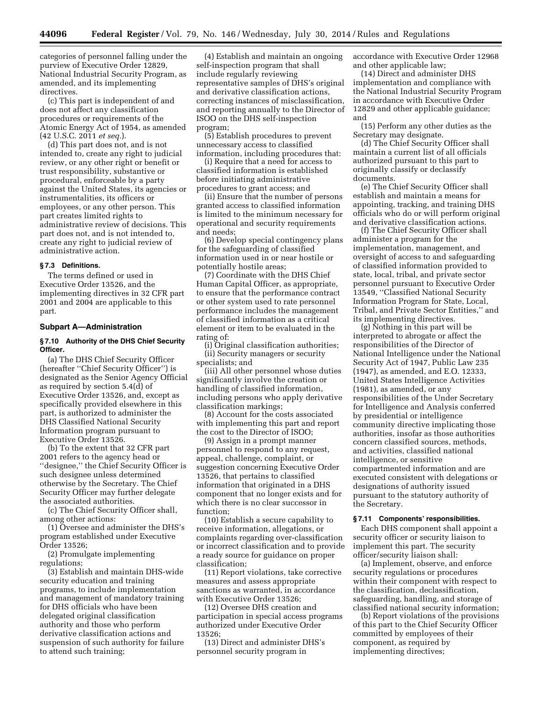categories of personnel falling under the purview of Executive Order 12829, National Industrial Security Program, as amended, and its implementing directives.

(c) This part is independent of and does not affect any classification procedures or requirements of the Atomic Energy Act of 1954, as amended (42 U.S.C. 2011 *et seq.*).

(d) This part does not, and is not intended to, create any right to judicial review, or any other right or benefit or trust responsibility, substantive or procedural, enforceable by a party against the United States, its agencies or instrumentalities, its officers or employees, or any other person. This part creates limited rights to administrative review of decisions. This part does not, and is not intended to, create any right to judicial review of administrative action.

## **§ 7.3 Definitions.**

The terms defined or used in Executive Order 13526, and the implementing directives in 32 CFR part 2001 and 2004 are applicable to this part.

#### **Subpart A—Administration**

# **§ 7.10 Authority of the DHS Chief Security Officer.**

(a) The DHS Chief Security Officer (hereafter ''Chief Security Officer'') is designated as the Senior Agency Official as required by section 5.4(d) of Executive Order 13526, and, except as specifically provided elsewhere in this part, is authorized to administer the DHS Classified National Security Information program pursuant to Executive Order 13526.

(b) To the extent that 32 CFR part 2001 refers to the agency head or ''designee,'' the Chief Security Officer is such designee unless determined otherwise by the Secretary. The Chief Security Officer may further delegate the associated authorities.

(c) The Chief Security Officer shall, among other actions:

(1) Oversee and administer the DHS's program established under Executive Order 13526;

(2) Promulgate implementing regulations;

(3) Establish and maintain DHS-wide security education and training programs, to include implementation and management of mandatory training for DHS officials who have been delegated original classification authority and those who perform derivative classification actions and suspension of such authority for failure to attend such training;

(4) Establish and maintain an ongoing self-inspection program that shall include regularly reviewing representative samples of DHS's original and derivative classification actions, correcting instances of misclassification, and reporting annually to the Director of ISOO on the DHS self-inspection program;

(5) Establish procedures to prevent unnecessary access to classified information, including procedures that:

(i) Require that a need for access to classified information is established before initiating administrative procedures to grant access; and

(ii) Ensure that the number of persons granted access to classified information is limited to the minimum necessary for operational and security requirements and needs;

(6) Develop special contingency plans for the safeguarding of classified information used in or near hostile or potentially hostile areas;

(7) Coordinate with the DHS Chief Human Capital Officer, as appropriate, to ensure that the performance contract or other system used to rate personnel performance includes the management of classified information as a critical element or item to be evaluated in the rating of:

(i) Original classification authorities; (ii) Security managers or security specialists; and

(iii) All other personnel whose duties significantly involve the creation or handling of classified information, including persons who apply derivative classification markings;

(8) Account for the costs associated with implementing this part and report the cost to the Director of ISOO;

(9) Assign in a prompt manner personnel to respond to any request, appeal, challenge, complaint, or suggestion concerning Executive Order 13526, that pertains to classified information that originated in a DHS component that no longer exists and for which there is no clear successor in function;

(10) Establish a secure capability to receive information, allegations, or complaints regarding over-classification or incorrect classification and to provide a ready source for guidance on proper classification;

(11) Report violations, take corrective measures and assess appropriate sanctions as warranted, in accordance with Executive Order 13526;

(12) Oversee DHS creation and participation in special access programs authorized under Executive Order 13526;

(13) Direct and administer DHS's personnel security program in

accordance with Executive Order 12968 and other applicable law;

(14) Direct and administer DHS implementation and compliance with the National Industrial Security Program in accordance with Executive Order 12829 and other applicable guidance; and

(15) Perform any other duties as the Secretary may designate.

(d) The Chief Security Officer shall maintain a current list of all officials authorized pursuant to this part to originally classify or declassify documents.

(e) The Chief Security Officer shall establish and maintain a means for appointing, tracking, and training DHS officials who do or will perform original and derivative classification actions.

(f) The Chief Security Officer shall administer a program for the implementation, management, and oversight of access to and safeguarding of classified information provided to state, local, tribal, and private sector personnel pursuant to Executive Order 13549, ''Classified National Security Information Program for State, Local, Tribal, and Private Sector Entities,'' and its implementing directives.

(g) Nothing in this part will be interpreted to abrogate or affect the responsibilities of the Director of National Intelligence under the National Security Act of 1947, Public Law 235 (1947), as amended, and E.O. 12333, United States Intelligence Activities (1981), as amended, or any responsibilities of the Under Secretary for Intelligence and Analysis conferred by presidential or intelligence community directive implicating those authorities, insofar as those authorities concern classified sources, methods, and activities, classified national intelligence, or sensitive compartmented information and are executed consistent with delegations or designations of authority issued pursuant to the statutory authority of the Secretary.

#### **§ 7.11 Components' responsibilities.**

Each DHS component shall appoint a security officer or security liaison to implement this part. The security officer/security liaison shall:

(a) Implement, observe, and enforce security regulations or procedures within their component with respect to the classification, declassification, safeguarding, handling, and storage of classified national security information;

(b) Report violations of the provisions of this part to the Chief Security Officer committed by employees of their component, as required by implementing directives;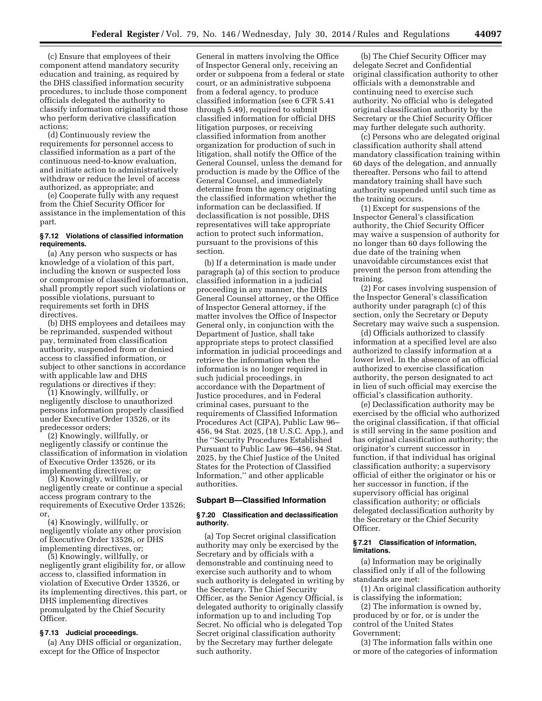(c) Ensure that employees of their component attend mandatory security education and training, as required by the DHS classified information security procedures, to include those component officials delegated the authority to classify information originally and those who perform derivative classification actions;

(d) Continuously review the requirements for personnel access to classified information as a part of the continuous need-to-know evaluation, and initiate action to administratively withdraw or reduce the level of access authorized, as appropriate; and

(e) Cooperate fully with any request from the Chief Security Officer for assistance in the implementation of this part.

# **§ 7.12 Violations of classified information requirements.**

(a) Any person who suspects or has knowledge of a violation of this part, including the known or suspected loss or compromise of classified information, shall promptly report such violations or possible violations, pursuant to requirements set forth in DHS directives.

(b) DHS employees and detailees may be reprimanded, suspended without pay, terminated from classification authority, suspended from or denied access to classified information, or subject to other sanctions in accordance with applicable law and DHS regulations or directives if they:

(1) Knowingly, willfully, or negligently disclose to unauthorized persons information properly classified under Executive Order 13526, or its

predecessor orders; (2) Knowingly, willfully, or negligently classify or continue the classification of information in violation of Executive Order 13526, or its implementing directives; or

(3) Knowingly, willfully, or negligently create or continue a special access program contrary to the requirements of Executive Order 13526; or,

(4) Knowingly, willfully, or negligently violate any other provision of Executive Order 13526, or DHS implementing directives, or;

(5) Knowingly, willfully, or negligently grant eligibility for, or allow access to, classified information in violation of Executive Order 13526, or its implementing directives, this part, or DHS implementing directives promulgated by the Chief Security Officer.

# **§ 7.13 Judicial proceedings.**

(a) Any DHS official or organization, except for the Office of Inspector

General in matters involving the Office of Inspector General only, receiving an order or subpoena from a federal or state court, or an administrative subpoena from a federal agency, to produce classified information (see 6 CFR 5.41 through 5.49), required to submit classified information for official DHS litigation purposes, or receiving classified information from another organization for production of such in litigation, shall notify the Office of the General Counsel, unless the demand for production is made by the Office of the General Counsel, and immediately determine from the agency originating the classified information whether the information can be declassified. If declassification is not possible, DHS representatives will take appropriate action to protect such information, pursuant to the provisions of this section.

(b) If a determination is made under paragraph (a) of this section to produce classified information in a judicial proceeding in any manner, the DHS General Counsel attorney, or the Office of Inspector General attorney, if the matter involves the Office of Inspector General only, in conjunction with the Department of Justice, shall take appropriate steps to protect classified information in judicial proceedings and retrieve the information when the information is no longer required in such judicial proceedings, in accordance with the Department of Justice procedures, and in Federal criminal cases, pursuant to the requirements of Classified Information Procedures Act (CIPA), Public Law 96– 456, 94 Stat. 2025, (18 U.S.C. App.), and the ''Security Procedures Established Pursuant to Public Law 96–456, 94 Stat. 2025, by the Chief Justice of the United States for the Protection of Classified Information,'' and other applicable authorities.

# **Subpart B—Classified Information**

#### **§ 7.20 Classification and declassification authority.**

(a) Top Secret original classification authority may only be exercised by the Secretary and by officials with a demonstrable and continuing need to exercise such authority and to whom such authority is delegated in writing by the Secretary. The Chief Security Officer, as the Senior Agency Official, is delegated authority to originally classify information up to and including Top Secret. No official who is delegated Top Secret original classification authority by the Secretary may further delegate such authority.

(b) The Chief Security Officer may delegate Secret and Confidential original classification authority to other officials with a demonstrable and continuing need to exercise such authority. No official who is delegated original classification authority by the Secretary or the Chief Security Officer may further delegate such authority.

(c) Persons who are delegated original classification authority shall attend mandatory classification training within 60 days of the delegation, and annually thereafter. Persons who fail to attend mandatory training shall have such authority suspended until such time as the training occurs.

(1) Except for suspensions of the Inspector General's classification authority, the Chief Security Officer may waive a suspension of authority for no longer than 60 days following the due date of the training when unavoidable circumstances exist that prevent the person from attending the training.

(2) For cases involving suspension of the Inspector General's classification authority under paragraph (c) of this section, only the Secretary or Deputy Secretary may waive such a suspension.

(d) Officials authorized to classify information at a specified level are also authorized to classify information at a lower level. In the absence of an official authorized to exercise classification authority, the person designated to act in lieu of such official may exercise the official's classification authority.

(e) Declassification authority may be exercised by the official who authorized the original classification, if that official is still serving in the same position and has original classification authority; the originator's current successor in function, if that individual has original classification authority; a supervisory official of either the originator or his or her successor in function, if the supervisory official has original classification authority; or officials delegated declassification authority by the Secretary or the Chief Security Officer.

# **§ 7.21 Classification of information, limitations.**

(a) Information may be originally classified only if all of the following standards are met:

(1) An original classification authority is classifying the information;

(2) The information is owned by, produced by or for, or is under the control of the United States Government;

(3) The information falls within one or more of the categories of information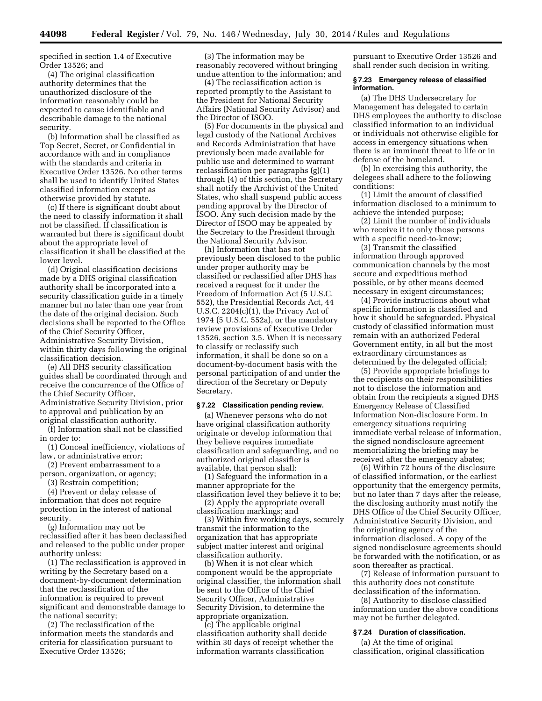specified in section 1.4 of Executive Order 13526; and

(4) The original classification authority determines that the unauthorized disclosure of the information reasonably could be expected to cause identifiable and describable damage to the national security.

(b) Information shall be classified as Top Secret, Secret, or Confidential in accordance with and in compliance with the standards and criteria in Executive Order 13526. No other terms shall be used to identify United States classified information except as otherwise provided by statute.

(c) If there is significant doubt about the need to classify information it shall not be classified. If classification is warranted but there is significant doubt about the appropriate level of classification it shall be classified at the lower level.

(d) Original classification decisions made by a DHS original classification authority shall be incorporated into a security classification guide in a timely manner but no later than one year from the date of the original decision. Such decisions shall be reported to the Office of the Chief Security Officer, Administrative Security Division, within thirty days following the original classification decision.

(e) All DHS security classification guides shall be coordinated through and receive the concurrence of the Office of the Chief Security Officer, Administrative Security Division, prior to approval and publication by an original classification authority.

(f) Information shall not be classified in order to:

(1) Conceal inefficiency, violations of law, or administrative error;

(2) Prevent embarrassment to a person, organization, or agency;

(3) Restrain competition;

(4) Prevent or delay release of information that does not require protection in the interest of national security.

(g) Information may not be reclassified after it has been declassified and released to the public under proper authority unless:

(1) The reclassification is approved in writing by the Secretary based on a document-by-document determination that the reclassification of the information is required to prevent significant and demonstrable damage to the national security;

(2) The reclassification of the information meets the standards and criteria for classification pursuant to Executive Order 13526;

(3) The information may be reasonably recovered without bringing undue attention to the information; and

(4) The reclassification action is reported promptly to the Assistant to the President for National Security Affairs (National Security Advisor) and the Director of ISOO.

(5) For documents in the physical and legal custody of the National Archives and Records Administration that have previously been made available for public use and determined to warrant reclassification per paragraphs (g)(1) through (4) of this section, the Secretary shall notify the Archivist of the United States, who shall suspend public access pending approval by the Director of ISOO. Any such decision made by the Director of ISOO may be appealed by the Secretary to the President through the National Security Advisor.

(h) Information that has not previously been disclosed to the public under proper authority may be classified or reclassified after DHS has received a request for it under the Freedom of Information Act (5 U.S.C. 552), the Presidential Records Act, 44 U.S.C. 2204(c)(1), the Privacy Act of 1974 (5 U.S.C. 552a), or the mandatory review provisions of Executive Order 13526, section 3.5. When it is necessary to classify or reclassify such information, it shall be done so on a document-by-document basis with the personal participation of and under the direction of the Secretary or Deputy Secretary.

#### **§ 7.22 Classification pending review.**

(a) Whenever persons who do not have original classification authority originate or develop information that they believe requires immediate classification and safeguarding, and no authorized original classifier is available, that person shall:

(1) Safeguard the information in a manner appropriate for the classification level they believe it to be;

(2) Apply the appropriate overall classification markings; and

(3) Within five working days, securely transmit the information to the organization that has appropriate subject matter interest and original classification authority.

(b) When it is not clear which component would be the appropriate original classifier, the information shall be sent to the Office of the Chief Security Officer, Administrative Security Division, to determine the appropriate organization.

(c) The applicable original classification authority shall decide within 30 days of receipt whether the information warrants classification

pursuant to Executive Order 13526 and shall render such decision in writing.

# **§ 7.23 Emergency release of classified information.**

(a) The DHS Undersecretary for Management has delegated to certain DHS employees the authority to disclose classified information to an individual or individuals not otherwise eligible for access in emergency situations when there is an imminent threat to life or in defense of the homeland.

(b) In exercising this authority, the delegees shall adhere to the following conditions:

(1) Limit the amount of classified information disclosed to a minimum to achieve the intended purpose;

(2) Limit the number of individuals who receive it to only those persons with a specific need-to-know;

(3) Transmit the classified information through approved communication channels by the most secure and expeditious method possible, or by other means deemed necessary in exigent circumstances;

(4) Provide instructions about what specific information is classified and how it should be safeguarded. Physical custody of classified information must remain with an authorized Federal Government entity, in all but the most extraordinary circumstances as determined by the delegated official;

(5) Provide appropriate briefings to the recipients on their responsibilities not to disclose the information and obtain from the recipients a signed DHS Emergency Release of Classified Information Non-disclosure Form. In emergency situations requiring immediate verbal release of information, the signed nondisclosure agreement memorializing the briefing may be received after the emergency abates;

(6) Within 72 hours of the disclosure of classified information, or the earliest opportunity that the emergency permits, but no later than 7 days after the release, the disclosing authority must notify the DHS Office of the Chief Security Officer, Administrative Security Division, and the originating agency of the information disclosed. A copy of the signed nondisclosure agreements should be forwarded with the notification, or as soon thereafter as practical.

(7) Release of information pursuant to this authority does not constitute declassification of the information.

(8) Authority to disclose classified information under the above conditions may not be further delegated.

#### **§ 7.24 Duration of classification.**

(a) At the time of original classification, original classification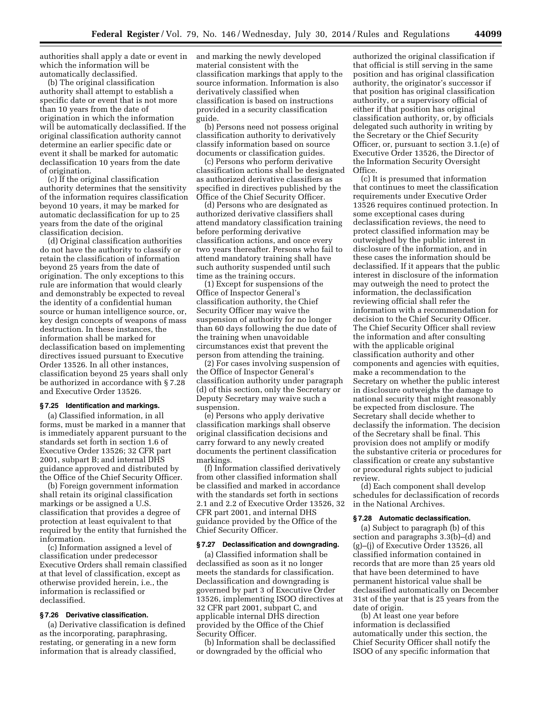authorities shall apply a date or event in which the information will be automatically declassified.

(b) The original classification authority shall attempt to establish a specific date or event that is not more than 10 years from the date of origination in which the information will be automatically declassified. If the original classification authority cannot determine an earlier specific date or event it shall be marked for automatic declassification 10 years from the date of origination.

(c) If the original classification authority determines that the sensitivity of the information requires classification beyond 10 years, it may be marked for automatic declassification for up to 25 years from the date of the original classification decision.

(d) Original classification authorities do not have the authority to classify or retain the classification of information beyond 25 years from the date of origination. The only exceptions to this rule are information that would clearly and demonstrably be expected to reveal the identity of a confidential human source or human intelligence source, or, key design concepts of weapons of mass destruction. In these instances, the information shall be marked for declassification based on implementing directives issued pursuant to Executive Order 13526. In all other instances, classification beyond 25 years shall only be authorized in accordance with § 7.28 and Executive Order 13526.

#### **§ 7.25 Identification and markings.**

(a) Classified information, in all forms, must be marked in a manner that is immediately apparent pursuant to the standards set forth in section 1.6 of Executive Order 13526; 32 CFR part 2001, subpart B; and internal DHS guidance approved and distributed by the Office of the Chief Security Officer.

(b) Foreign government information shall retain its original classification markings or be assigned a U.S. classification that provides a degree of protection at least equivalent to that required by the entity that furnished the information.

(c) Information assigned a level of classification under predecessor Executive Orders shall remain classified at that level of classification, except as otherwise provided herein, i.e., the information is reclassified or declassified.

# **§ 7.26 Derivative classification.**

(a) Derivative classification is defined as the incorporating, paraphrasing, restating, or generating in a new form information that is already classified,

and marking the newly developed material consistent with the classification markings that apply to the source information. Information is also derivatively classified when classification is based on instructions provided in a security classification guide.

(b) Persons need not possess original classification authority to derivatively classify information based on source documents or classification guides.

(c) Persons who perform derivative classification actions shall be designated as authorized derivative classifiers as specified in directives published by the Office of the Chief Security Officer.

(d) Persons who are designated as authorized derivative classifiers shall attend mandatory classification training before performing derivative classification actions, and once every two years thereafter. Persons who fail to attend mandatory training shall have such authority suspended until such time as the training occurs.

(1) Except for suspensions of the Office of Inspector General's classification authority, the Chief Security Officer may waive the suspension of authority for no longer than 60 days following the due date of the training when unavoidable circumstances exist that prevent the person from attending the training.

(2) For cases involving suspension of the Office of Inspector General's classification authority under paragraph (d) of this section, only the Secretary or Deputy Secretary may waive such a suspension.

(e) Persons who apply derivative classification markings shall observe original classification decisions and carry forward to any newly created documents the pertinent classification markings.

(f) Information classified derivatively from other classified information shall be classified and marked in accordance with the standards set forth in sections 2.1 and 2.2 of Executive Order 13526, 32 CFR part 2001, and internal DHS guidance provided by the Office of the Chief Security Officer.

# **§ 7.27 Declassification and downgrading.**

(a) Classified information shall be declassified as soon as it no longer meets the standards for classification. Declassification and downgrading is governed by part 3 of Executive Order 13526, implementing ISOO directives at 32 CFR part 2001, subpart C, and applicable internal DHS direction provided by the Office of the Chief Security Officer.

(b) Information shall be declassified or downgraded by the official who

authorized the original classification if that official is still serving in the same position and has original classification authority, the originator's successor if that position has original classification authority, or a supervisory official of either if that position has original classification authority, or, by officials delegated such authority in writing by the Secretary or the Chief Security Officer, or, pursuant to section 3.1.(e) of Executive Order 13526, the Director of the Information Security Oversight Office.

(c) It is presumed that information that continues to meet the classification requirements under Executive Order 13526 requires continued protection. In some exceptional cases during declassification reviews, the need to protect classified information may be outweighed by the public interest in disclosure of the information, and in these cases the information should be declassified. If it appears that the public interest in disclosure of the information may outweigh the need to protect the information, the declassification reviewing official shall refer the information with a recommendation for decision to the Chief Security Officer. The Chief Security Officer shall review the information and after consulting with the applicable original classification authority and other components and agencies with equities, make a recommendation to the Secretary on whether the public interest in disclosure outweighs the damage to national security that might reasonably be expected from disclosure. The Secretary shall decide whether to declassify the information. The decision of the Secretary shall be final. This provision does not amplify or modify the substantive criteria or procedures for classification or create any substantive or procedural rights subject to judicial review.

(d) Each component shall develop schedules for declassification of records in the National Archives.

#### **§ 7.28 Automatic declassification.**

(a) Subject to paragraph (b) of this section and paragraphs 3.3(b)–(d) and (g)–(j) of Executive Order 13526, all classified information contained in records that are more than 25 years old that have been determined to have permanent historical value shall be declassified automatically on December 31st of the year that is 25 years from the date of origin.

(b) At least one year before information is declassified automatically under this section, the Chief Security Officer shall notify the ISOO of any specific information that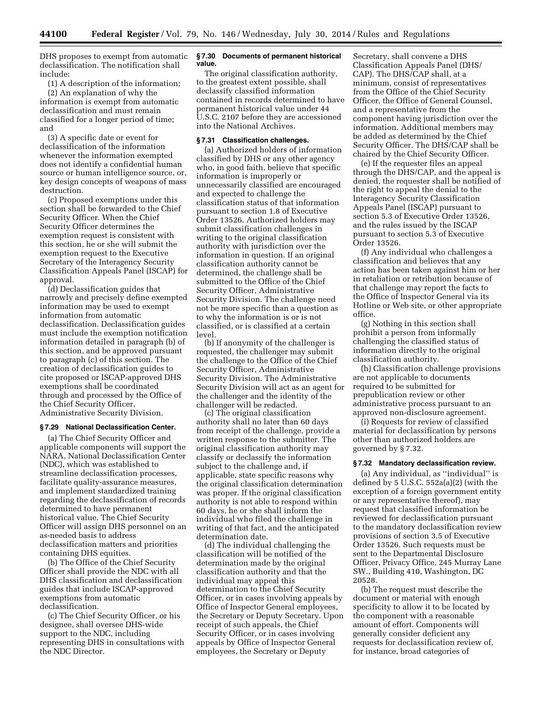DHS proposes to exempt from automatic declassification. The notification shall include:

(1) A description of the information; (2) An explanation of why the information is exempt from automatic declassification and must remain classified for a longer period of time; and

(3) A specific date or event for declassification of the information whenever the information exempted does not identify a confidential human source or human intelligence source, or, key design concepts of weapons of mass destruction.

(c) Proposed exemptions under this section shall be forwarded to the Chief Security Officer. When the Chief Security Officer determines the exemption request is consistent with this section, he or she will submit the exemption request to the Executive Secretary of the Interagency Security Classification Appeals Panel (ISCAP) for approval.

(d) Declassification guides that narrowly and precisely define exempted information may be used to exempt information from automatic declassification. Declassification guides must include the exemption notification information detailed in paragraph (b) of this section, and be approved pursuant to paragraph (c) of this section. The creation of declassification guides to cite proposed or ISCAP-approved DHS exemptions shall be coordinated through and processed by the Office of the Chief Security Officer, Administrative Security Division.

# **§ 7.29 National Declassification Center.**

(a) The Chief Security Officer and applicable components will support the NARA, National Declassification Center (NDC), which was established to streamline declassification processes, facilitate quality-assurance measures, and implement standardized training regarding the declassification of records determined to have permanent historical value. The Chief Security Officer will assign DHS personnel on an as-needed basis to address declassification matters and priorities containing DHS equities.

(b) The Office of the Chief Security Officer shall provide the NDC with all DHS classification and declassification guides that include ISCAP-approved exemptions from automatic declassification.

(c) The Chief Security Officer, or his designee, shall oversee DHS-wide support to the NDC, including representing DHS in consultations with the NDC Director.

## **§ 7.30 Documents of permanent historical value.**

The original classification authority, to the greatest extent possible, shall declassify classified information contained in records determined to have permanent historical value under 44 U.S.C. 2107 before they are accessioned into the National Archives.

# **§ 7.31 Classification challenges.**

(a) Authorized holders of information classified by DHS or any other agency who, in good faith, believe that specific information is improperly or unnecessarily classified are encouraged and expected to challenge the classification status of that information pursuant to section 1.8 of Executive Order 13526. Authorized holders may submit classification challenges in writing to the original classification authority with jurisdiction over the information in question. If an original classification authority cannot be determined, the challenge shall be submitted to the Office of the Chief Security Officer, Administrative Security Division. The challenge need not be more specific than a question as to why the information is or is not classified, or is classified at a certain level.

(b) If anonymity of the challenger is requested, the challenger may submit the challenge to the Office of the Chief Security Officer, Administrative Security Division. The Administrative Security Division will act as an agent for the challenger and the identity of the challenger will be redacted.

(c) The original classification authority shall no later than 60 days from receipt of the challenge, provide a written response to the submitter. The original classification authority may classify or declassify the information subject to the challenge and, if applicable, state specific reasons why the original classification determination was proper. If the original classification authority is not able to respond within 60 days, he or she shall inform the individual who filed the challenge in writing of that fact, and the anticipated determination date.

(d) The individual challenging the classification will be notified of the determination made by the original classification authority and that the individual may appeal this determination to the Chief Security Officer, or in cases involving appeals by Office of Inspector General employees, the Secretary or Deputy Secretary. Upon receipt of such appeals, the Chief Security Officer, or in cases involving appeals by Office of Inspector General employees, the Secretary or Deputy

Secretary, shall convene a DHS Classification Appeals Panel (DHS/ CAP). The DHS/CAP shall, at a minimum, consist of representatives from the Office of the Chief Security Officer, the Office of General Counsel, and a representative from the component having jurisdiction over the information. Additional members may be added as determined by the Chief Security Officer. The DHS/CAP shall be chaired by the Chief Security Officer.

(e) If the requester files an appeal through the DHS/CAP, and the appeal is denied, the requester shall be notified of the right to appeal the denial to the Interagency Security Classification Appeals Panel (ISCAP) pursuant to section 5.3 of Executive Order 13526, and the rules issued by the ISCAP pursuant to section 5.3 of Executive Order 13526.

(f) Any individual who challenges a classification and believes that any action has been taken against him or her in retaliation or retribution because of that challenge may report the facts to the Office of Inspector General via its Hotline or Web site, or other appropriate office.

(g) Nothing in this section shall prohibit a person from informally challenging the classified status of information directly to the original classification authority.

(h) Classification challenge provisions are not applicable to documents required to be submitted for prepublication review or other administrative process pursuant to an approved non-disclosure agreement.

(i) Requests for review of classified material for declassification by persons other than authorized holders are governed by § 7.32.

# **§ 7.32 Mandatory declassification review.**

(a) Any individual, as ''individual'' is defined by 5 U.S.C. 552a(a)(2) (with the exception of a foreign government entity or any representative thereof), may request that classified information be reviewed for declassification pursuant to the mandatory declassification review provisions of section 3.5 of Executive Order 13526. Such requests must be sent to the Departmental Disclosure Officer, Privacy Office, 245 Murray Lane SW., Building 410, Washington, DC 20528.

(b) The request must describe the document or material with enough specificity to allow it to be located by the component with a reasonable amount of effort. Components will generally consider deficient any requests for declassification review of, for instance, broad categories of